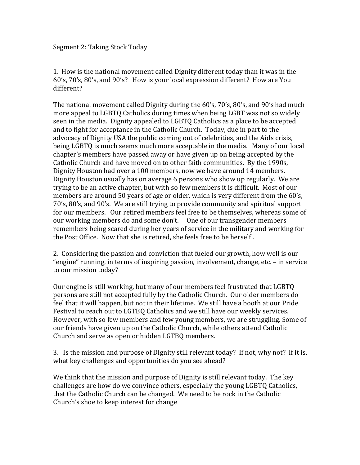## Segment 2: Taking Stock Today

1. How is the national movement called Dignity different today than it was in the 60's, 70's, 80's, and 90's? How is your local expression different? How are You different?

The national movement called Dignity during the  $60's$ ,  $70's$ ,  $80's$ , and  $90's$  had much more appeal to LGBTQ Catholics during times when being LGBT was not so widely seen in the media. Dignity appealed to LGBTQ Catholics as a place to be accepted and to fight for acceptance in the Catholic Church. Today, due in part to the advocacy of Dignity USA the public coming out of celebrities, and the Aids crisis, being LGBTQ is much seems much more acceptable in the media. Many of our local chapter's members have passed away or have given up on being accepted by the Catholic Church and have moved on to other faith communities. By the 1990s, Dignity Houston had over a 100 members, now we have around 14 members. Dignity Houston usually has on average 6 persons who show up regularly. We are trying to be an active chapter, but with so few members it is difficult. Most of our members are around 50 years of age or older, which is very different from the 60's, 70's, 80's, and 90's. We are still trying to provide community and spiritual support for our members. Our retired members feel free to be themselves, whereas some of our working members do and some don't. One of our transgender members remembers being scared during her years of service in the military and working for the Post Office. Now that she is retired, she feels free to be herself.

2. Considering the passion and conviction that fueled our growth, how well is our "engine" running, in terms of inspiring passion, involvement, change, etc. – in service to our mission today?

Our engine is still working, but many of our members feel frustrated that LGBTQ persons are still not accepted fully by the Catholic Church. Our older members do feel that it will happen, but not in their lifetime. We still have a booth at our Pride Festival to reach out to LGTBQ Catholics and we still have our weekly services. However, with so few members and few young members, we are struggling. Some of our friends have given up on the Catholic Church, while others attend Catholic Church and serve as open or hidden LGTBQ members.

3. Is the mission and purpose of Dignity still relevant today? If not, why not? If it is, what key challenges and opportunities do you see ahead?

We think that the mission and purpose of Dignity is still relevant today. The key challenges are how do we convince others, especially the young LGBTQ Catholics, that the Catholic Church can be changed. We need to be rock in the Catholic Church's shoe to keep interest for change